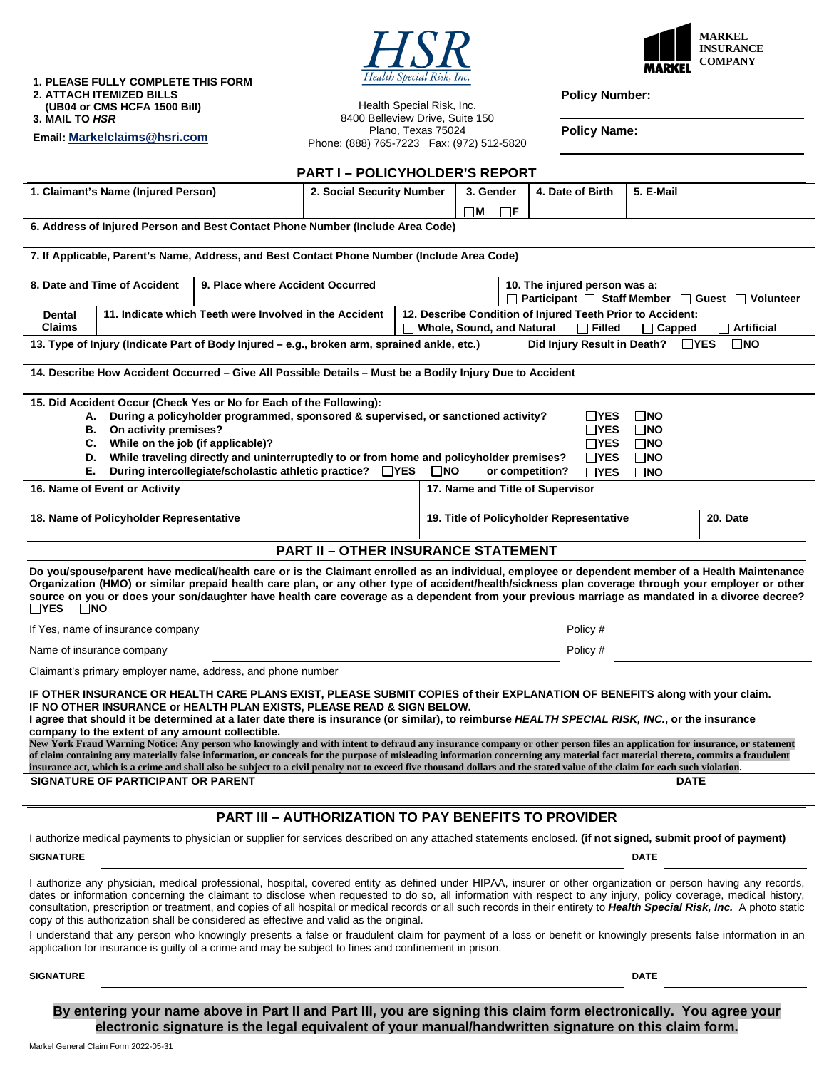# Health Special Risk, Inc.

Health Special Risk, Inc.



**1. PLEASE FULLY COMPLETE THIS FORM 2. ATTACH ITEMIZED BILLS (UB04 or CMS HCFA 1500 Bill)** 

**Email: Markelclaims@hsri.com**

**3. MAIL TO** *HSR* 

**Policy Number:** 

8400 Belleview Drive, Suite 150 Plano, Texas 75024 Phone: (888) 765-7223 Fax: (972) 512-5820

**Policy Name:** 

|                                                                                                                                                                                                                                                                                                                                                                                                                                                                                                                                                                                                                                                                                                                                                                             | <b>PART I-POLICYHOLDER'S REPORT</b>                         |  |                                          |  |             |           |  |
|-----------------------------------------------------------------------------------------------------------------------------------------------------------------------------------------------------------------------------------------------------------------------------------------------------------------------------------------------------------------------------------------------------------------------------------------------------------------------------------------------------------------------------------------------------------------------------------------------------------------------------------------------------------------------------------------------------------------------------------------------------------------------------|-------------------------------------------------------------|--|------------------------------------------|--|-------------|-----------|--|
| 1. Claimant's Name (Injured Person)                                                                                                                                                                                                                                                                                                                                                                                                                                                                                                                                                                                                                                                                                                                                         | 2. Social Security Number                                   |  | 3. Gender<br>4. Date of Birth            |  | 5. E-Mail   |           |  |
|                                                                                                                                                                                                                                                                                                                                                                                                                                                                                                                                                                                                                                                                                                                                                                             |                                                             |  | ПM<br>$\Box$ F                           |  |             |           |  |
| 6. Address of Injured Person and Best Contact Phone Number (Include Area Code)                                                                                                                                                                                                                                                                                                                                                                                                                                                                                                                                                                                                                                                                                              |                                                             |  |                                          |  |             |           |  |
| 7. If Applicable, Parent's Name, Address, and Best Contact Phone Number (Include Area Code)                                                                                                                                                                                                                                                                                                                                                                                                                                                                                                                                                                                                                                                                                 |                                                             |  |                                          |  |             |           |  |
| 8. Date and Time of Accident<br>9. Place where Accident Occurred<br>10. The injured person was a:                                                                                                                                                                                                                                                                                                                                                                                                                                                                                                                                                                                                                                                                           |                                                             |  |                                          |  |             |           |  |
| $\Box$ Participant $\Box$ Staff Member $\Box$ Guest<br>$\perp$<br>12. Describe Condition of Injured Teeth Prior to Accident:<br>11. Indicate which Teeth were Involved in the Accident<br>Dental                                                                                                                                                                                                                                                                                                                                                                                                                                                                                                                                                                            |                                                             |  |                                          |  |             | Volunteer |  |
| <b>Claims</b><br>□ Whole, Sound, and Natural<br>$\Box$ Filled<br>$\Box$ Artificial<br>$\Box$ Capped<br>$\square$ NO<br>13. Type of Injury (Indicate Part of Body Injured – e.g., broken arm, sprained ankle, etc.)<br>Did Injury Result in Death?<br>$\Box$ YES                                                                                                                                                                                                                                                                                                                                                                                                                                                                                                             |                                                             |  |                                          |  |             |           |  |
|                                                                                                                                                                                                                                                                                                                                                                                                                                                                                                                                                                                                                                                                                                                                                                             |                                                             |  |                                          |  |             |           |  |
| 14. Describe How Accident Occurred - Give All Possible Details - Must be a Bodily Injury Due to Accident                                                                                                                                                                                                                                                                                                                                                                                                                                                                                                                                                                                                                                                                    |                                                             |  |                                          |  |             |           |  |
| 15. Did Accident Occur (Check Yes or No for Each of the Following):<br>During a policyholder programmed, sponsored & supervised, or sanctioned activity?<br>$\Box$ YES<br>$\Box$ NO<br>А.<br>On activity premises?<br>$\Box$ YES<br>$\square$ NO<br>В.<br>While on the job (if applicable)?<br>$\sqcap$ YES<br>$\square$ NO<br>C.<br>While traveling directly and uninterruptedly to or from home and policyholder premises?<br>$\square$ NO<br>D.<br>$\Box$ YES<br>Е.<br>During intercollegiate/scholastic athletic practice? □ YES<br>$\Box$ NO<br>or competition?<br>$\Box$ YES<br>$\square$ NO                                                                                                                                                                          |                                                             |  |                                          |  |             |           |  |
| 16. Name of Event or Activity                                                                                                                                                                                                                                                                                                                                                                                                                                                                                                                                                                                                                                                                                                                                               |                                                             |  | 17. Name and Title of Supervisor         |  |             |           |  |
| 18. Name of Policyholder Representative                                                                                                                                                                                                                                                                                                                                                                                                                                                                                                                                                                                                                                                                                                                                     |                                                             |  | 19. Title of Policyholder Representative |  |             | 20. Date  |  |
|                                                                                                                                                                                                                                                                                                                                                                                                                                                                                                                                                                                                                                                                                                                                                                             | <b>PART II - OTHER INSURANCE STATEMENT</b>                  |  |                                          |  |             |           |  |
| Do you/spouse/parent have medical/health care or is the Claimant enrolled as an individual, employee or dependent member of a Health Maintenance<br>Organization (HMO) or similar prepaid health care plan, or any other type of accident/health/sickness plan coverage through your employer or other<br>source on you or does your son/daughter have health care coverage as a dependent from your previous marriage as mandated in a divorce decree?<br>$\Box$ YES<br>$\square$ NO                                                                                                                                                                                                                                                                                       |                                                             |  |                                          |  |             |           |  |
| If Yes, name of insurance company                                                                                                                                                                                                                                                                                                                                                                                                                                                                                                                                                                                                                                                                                                                                           |                                                             |  | Policy #                                 |  |             |           |  |
| Name of insurance company                                                                                                                                                                                                                                                                                                                                                                                                                                                                                                                                                                                                                                                                                                                                                   |                                                             |  | Policy #                                 |  |             |           |  |
| Claimant's primary employer name, address, and phone number                                                                                                                                                                                                                                                                                                                                                                                                                                                                                                                                                                                                                                                                                                                 |                                                             |  |                                          |  |             |           |  |
| IF OTHER INSURANCE OR HEALTH CARE PLANS EXIST, PLEASE SUBMIT COPIES of their EXPLANATION OF BENEFITS along with your claim.<br>IF NO OTHER INSURANCE or HEALTH PLAN EXISTS, PLEASE READ & SIGN BELOW.<br>I agree that should it be determined at a later date there is insurance (or similar), to reimburse HEALTH SPECIAL RISK, INC., or the insurance<br>company to the extent of any amount collectible.<br>New York Fraud Warning Notice: Any person who knowingly and with intent to defraud any insurance company or other person files an application for insurance, or statement<br>of claim containing any materially false information, or conceals for the purpose of misleading information concerning any material fact material thereto, commits a fraudulent |                                                             |  |                                          |  |             |           |  |
| insurance act, which is a crime and shall also be subject to a civil penalty not to exceed five thousand dollars and the stated value of the claim for each such violation.                                                                                                                                                                                                                                                                                                                                                                                                                                                                                                                                                                                                 |                                                             |  |                                          |  |             |           |  |
| SIGNATURE OF PARTICIPANT OR PARENT                                                                                                                                                                                                                                                                                                                                                                                                                                                                                                                                                                                                                                                                                                                                          |                                                             |  |                                          |  | <b>DATE</b> |           |  |
|                                                                                                                                                                                                                                                                                                                                                                                                                                                                                                                                                                                                                                                                                                                                                                             | <b>PART III - AUTHORIZATION TO PAY BENEFITS TO PROVIDER</b> |  |                                          |  |             |           |  |
| I authorize medical payments to physician or supplier for services described on any attached statements enclosed. (if not signed, submit proof of payment)                                                                                                                                                                                                                                                                                                                                                                                                                                                                                                                                                                                                                  |                                                             |  |                                          |  |             |           |  |
| <b>SIGNATURE</b>                                                                                                                                                                                                                                                                                                                                                                                                                                                                                                                                                                                                                                                                                                                                                            |                                                             |  | <b>DATE</b>                              |  |             |           |  |
| I authorize any physician, medical professional, hospital, covered entity as defined under HIPAA, insurer or other organization or person having any records,<br>dates or information concerning the claimant to disclose when requested to do so, all information with respect to any injury, policy coverage, medical history,<br>consultation, prescription or treatment, and copies of all hospital or medical records or all such records in their entirety to Health Special Risk, Inc. A photo static<br>copy of this authorization shall be considered as effective and valid as the original.<br>I understand that any person who knowingly presents a false or fraudulent claim for payment of a loss or benefit or knowingly presents false information in an    |                                                             |  |                                          |  |             |           |  |
| application for insurance is guilty of a crime and may be subject to fines and confinement in prison.                                                                                                                                                                                                                                                                                                                                                                                                                                                                                                                                                                                                                                                                       |                                                             |  |                                          |  |             |           |  |
| <b>SIGNATURE</b>                                                                                                                                                                                                                                                                                                                                                                                                                                                                                                                                                                                                                                                                                                                                                            |                                                             |  | <b>DATE</b>                              |  |             |           |  |

**By entering your name above in Part II and Part III, you are signing this claim form electronically. You agree your electronic signature is the legal equivalent of your manual/handwritten signature on this claim form.**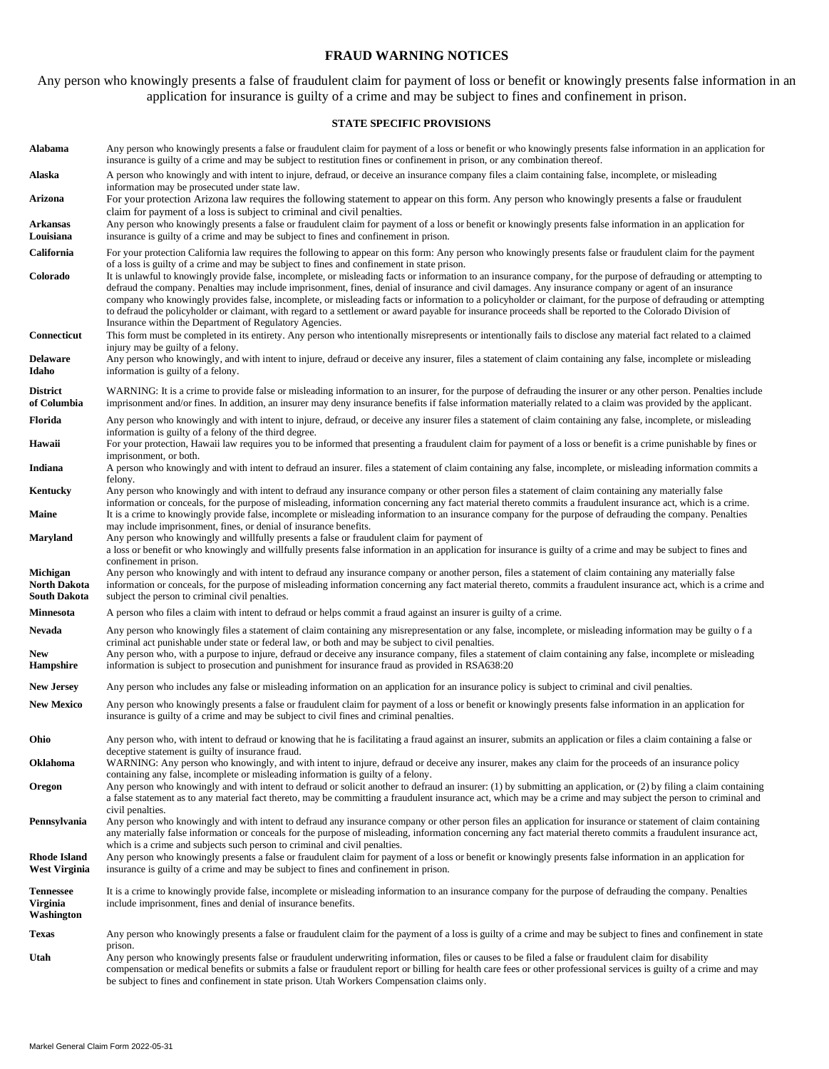#### **FRAUD WARNING NOTICES**

Any person who knowingly presents a false of fraudulent claim for payment of loss or benefit or knowingly presents false information in an application for insurance is guilty of a crime and may be subject to fines and confinement in prison.

#### **STATE SPECIFIC PROVISIONS**

| Alabama                                    | Any person who knowingly presents a false or fraudulent claim for payment of a loss or benefit or who knowingly presents false information in an application for<br>insurance is guilty of a crime and may be subject to restitution fines or confinement in prison, or any combination thereof.                                                                                                                                                                                                                                                                                                                                                                                                                       |
|--------------------------------------------|------------------------------------------------------------------------------------------------------------------------------------------------------------------------------------------------------------------------------------------------------------------------------------------------------------------------------------------------------------------------------------------------------------------------------------------------------------------------------------------------------------------------------------------------------------------------------------------------------------------------------------------------------------------------------------------------------------------------|
| Alaska                                     | A person who knowingly and with intent to injure, defraud, or deceive an insurance company files a claim containing false, incomplete, or misleading<br>information may be prosecuted under state law.                                                                                                                                                                                                                                                                                                                                                                                                                                                                                                                 |
| Arizona                                    | For your protection Arizona law requires the following statement to appear on this form. Any person who knowingly presents a false or fraudulent                                                                                                                                                                                                                                                                                                                                                                                                                                                                                                                                                                       |
| Arkansas<br>Louisiana                      | claim for payment of a loss is subject to criminal and civil penalties.<br>Any person who knowingly presents a false or fraudulent claim for payment of a loss or benefit or knowingly presents false information in an application for<br>insurance is guilty of a crime and may be subject to fines and confinement in prison.                                                                                                                                                                                                                                                                                                                                                                                       |
| California                                 | For your protection California law requires the following to appear on this form: Any person who knowingly presents false or fraudulent claim for the payment<br>of a loss is guilty of a crime and may be subject to fines and confinement in state prison.                                                                                                                                                                                                                                                                                                                                                                                                                                                           |
| Colorado                                   | It is unlawful to knowingly provide false, incomplete, or misleading facts or information to an insurance company, for the purpose of defrauding or attempting to<br>defraud the company. Penalties may include imprisonment, fines, denial of insurance and civil damages. Any insurance company or agent of an insurance<br>company who knowingly provides false, incomplete, or misleading facts or information to a policyholder or claimant, for the purpose of defrauding or attempting<br>to defraud the policyholder or claimant, with regard to a settlement or award payable for insurance proceeds shall be reported to the Colorado Division of<br>Insurance within the Department of Regulatory Agencies. |
| Connecticut                                | This form must be completed in its entirety. Any person who intentionally misrepresents or intentionally fails to disclose any material fact related to a claimed<br>injury may be guilty of a felony.                                                                                                                                                                                                                                                                                                                                                                                                                                                                                                                 |
| <b>Delaware</b><br>Idaho                   | Any person who knowingly, and with intent to injure, defraud or deceive any insurer, files a statement of claim containing any false, incomplete or misleading<br>information is guilty of a felony.                                                                                                                                                                                                                                                                                                                                                                                                                                                                                                                   |
| <b>District</b><br>of Columbia             | WARNING: It is a crime to provide false or misleading information to an insurer, for the purpose of defrauding the insurer or any other person. Penalties include<br>imprisonment and/or fines. In addition, an insurer may deny insurance benefits if false information materially related to a claim was provided by the applicant.                                                                                                                                                                                                                                                                                                                                                                                  |
| Florida                                    | Any person who knowingly and with intent to injure, defraud, or deceive any insurer files a statement of claim containing any false, incomplete, or misleading<br>information is guilty of a felony of the third degree.                                                                                                                                                                                                                                                                                                                                                                                                                                                                                               |
| Hawaii                                     | For your protection, Hawaii law requires you to be informed that presenting a fraudulent claim for payment of a loss or benefit is a crime punishable by fines or<br>imprisonment, or both.                                                                                                                                                                                                                                                                                                                                                                                                                                                                                                                            |
| Indiana                                    | A person who knowingly and with intent to defraud an insurer. files a statement of claim containing any false, incomplete, or misleading information commits a<br>felony.                                                                                                                                                                                                                                                                                                                                                                                                                                                                                                                                              |
| Kentucky                                   | Any person who knowingly and with intent to defraud any insurance company or other person files a statement of claim containing any materially false                                                                                                                                                                                                                                                                                                                                                                                                                                                                                                                                                                   |
| Maine                                      | information or conceals, for the purpose of misleading, information concerning any fact material thereto commits a fraudulent insurance act, which is a crime.<br>It is a crime to knowingly provide false, incomplete or misleading information to an insurance company for the purpose of defrauding the company. Penalties<br>may include imprisonment, fines, or denial of insurance benefits.                                                                                                                                                                                                                                                                                                                     |
| Maryland                                   | Any person who knowingly and willfully presents a false or fraudulent claim for payment of<br>a loss or benefit or who knowingly and willfully presents false information in an application for insurance is guilty of a crime and may be subject to fines and<br>confinement in prison.                                                                                                                                                                                                                                                                                                                                                                                                                               |
| Michigan<br>North Dakota<br>South Dakota   | Any person who knowingly and with intent to defraud any insurance company or another person, files a statement of claim containing any materially false<br>information or conceals, for the purpose of misleading information concerning any fact material thereto, commits a fraudulent insurance act, which is a crime and<br>subject the person to criminal civil penalties.                                                                                                                                                                                                                                                                                                                                        |
| Minnesota                                  | A person who files a claim with intent to defraud or helps commit a fraud against an insurer is guilty of a crime.                                                                                                                                                                                                                                                                                                                                                                                                                                                                                                                                                                                                     |
| Nevada<br>New<br>Hampshire                 | Any person who knowingly files a statement of claim containing any misrepresentation or any false, incomplete, or misleading information may be guilty of a<br>criminal act punishable under state or federal law, or both and may be subject to civil penalties.<br>Any person who, with a purpose to injure, defraud or deceive any insurance company, files a statement of claim containing any false, incomplete or misleading<br>information is subject to prosecution and punishment for insurance fraud as provided in RSA638:20                                                                                                                                                                                |
| <b>New Jersey</b>                          | Any person who includes any false or misleading information on an application for an insurance policy is subject to criminal and civil penalties.                                                                                                                                                                                                                                                                                                                                                                                                                                                                                                                                                                      |
| <b>New Mexico</b>                          | Any person who knowingly presents a false or fraudulent claim for payment of a loss or benefit or knowingly presents false information in an application for<br>insurance is guilty of a crime and may be subject to civil fines and criminal penalties.                                                                                                                                                                                                                                                                                                                                                                                                                                                               |
| Ohio                                       | Any person who, with intent to defraud or knowing that he is facilitating a fraud against an insurer, submits an application or files a claim containing a false or                                                                                                                                                                                                                                                                                                                                                                                                                                                                                                                                                    |
| Oklahoma                                   | deceptive statement is guilty of insurance fraud.<br>WARNING: Any person who knowingly, and with intent to injure, defraud or deceive any insurer, makes any claim for the proceeds of an insurance policy<br>containing any false, incomplete or misleading information is guilty of a felony.                                                                                                                                                                                                                                                                                                                                                                                                                        |
| Oregon                                     | Any person who knowingly and with intent to defraud or solicit another to defraud an insurer: (1) by submitting an application, or (2) by filing a claim containing<br>a false statement as to any material fact thereto, may be committing a fraudulent insurance act, which may be a crime and may subject the person to criminal and<br>civil penalties.                                                                                                                                                                                                                                                                                                                                                            |
| Pennsylvania                               | Any person who knowingly and with intent to defraud any insurance company or other person files an application for insurance or statement of claim containing<br>any materially false information or conceals for the purpose of misleading, information concerning any fact material thereto commits a fraudulent insurance act,<br>which is a crime and subjects such person to criminal and civil penalties.                                                                                                                                                                                                                                                                                                        |
| Rhode Island<br>West Virginia              | Any person who knowingly presents a false or fraudulent claim for payment of a loss or benefit or knowingly presents false information in an application for<br>insurance is guilty of a crime and may be subject to fines and confinement in prison.                                                                                                                                                                                                                                                                                                                                                                                                                                                                  |
| <b>Tennessee</b><br>Virginia<br>Washington | It is a crime to knowingly provide false, incomplete or misleading information to an insurance company for the purpose of defrauding the company. Penalties<br>include imprisonment, fines and denial of insurance benefits.                                                                                                                                                                                                                                                                                                                                                                                                                                                                                           |
| Texas                                      | Any person who knowingly presents a false or fraudulent claim for the payment of a loss is guilty of a crime and may be subject to fines and confinement in state                                                                                                                                                                                                                                                                                                                                                                                                                                                                                                                                                      |
| Utah                                       | prison.<br>Any person who knowingly presents false or fraudulent underwriting information, files or causes to be filed a false or fraudulent claim for disability<br>compensation or medical benefits or submits a false or fraudulent report or billing for health care fees or other professional services is guilty of a crime and may<br>be subject to fines and confinement in state prison. Utah Workers Compensation claims only.                                                                                                                                                                                                                                                                               |